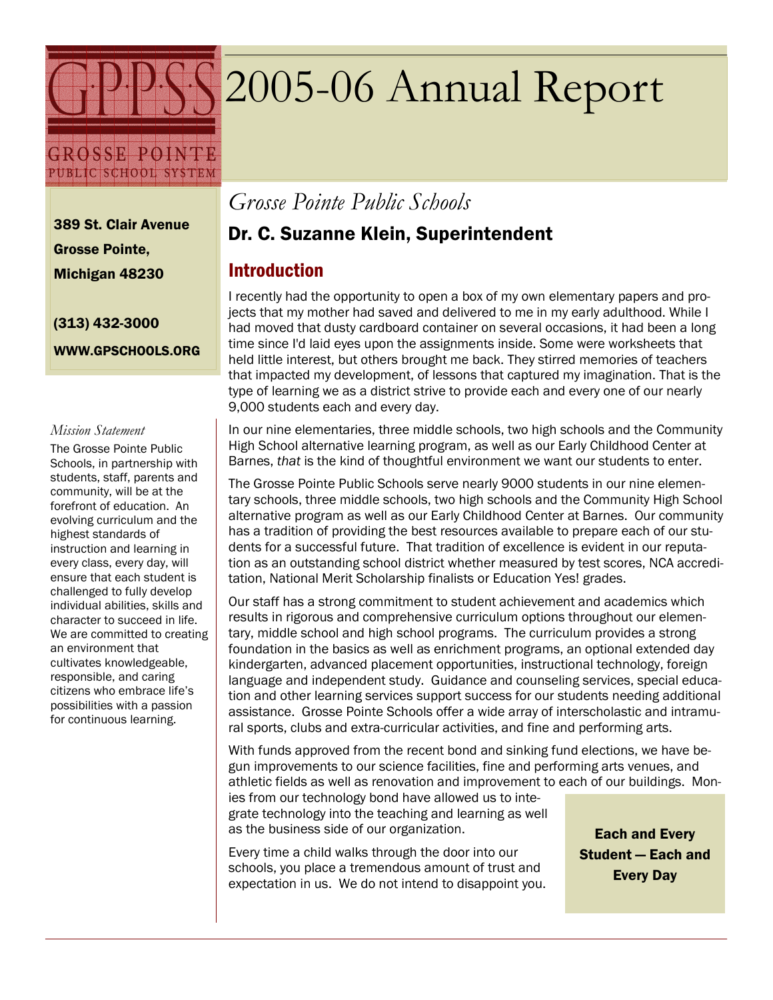

GROSSE POINTE PUBLIC SCHOOL SYSTEM

# 2005-06 Annual Report

389 St. Clair Avenue Grosse Pointe, Michigan 48230

(313) 432-3000 WWW.GPSCHOOLS.ORG

#### Mission Statement

The Grosse Pointe Public Schools, in partnership with students, staff, parents and community, will be at the forefront of education. An evolving curriculum and the highest standards of instruction and learning in every class, every day, will ensure that each student is challenged to fully develop individual abilities, skills and character to succeed in life. We are committed to creating an environment that cultivates knowledgeable, responsible, and caring citizens who embrace life's possibilities with a passion for continuous learning.

Grosse Pointe Public Schools

#### Dr. C. Suzanne Klein, Superintendent

#### **Introduction**

I recently had the opportunity to open a box of my own elementary papers and projects that my mother had saved and delivered to me in my early adulthood. While I had moved that dusty cardboard container on several occasions, it had been a long time since I'd laid eyes upon the assignments inside. Some were worksheets that held little interest, but others brought me back. They stirred memories of teachers that impacted my development, of lessons that captured my imagination. That is the type of learning we as a district strive to provide each and every one of our nearly 9,000 students each and every day.

In our nine elementaries, three middle schools, two high schools and the Community High School alternative learning program, as well as our Early Childhood Center at Barnes, that is the kind of thoughtful environment we want our students to enter.

The Grosse Pointe Public Schools serve nearly 9000 students in our nine elementary schools, three middle schools, two high schools and the Community High School alternative program as well as our Early Childhood Center at Barnes. Our community has a tradition of providing the best resources available to prepare each of our students for a successful future. That tradition of excellence is evident in our reputation as an outstanding school district whether measured by test scores, NCA accreditation, National Merit Scholarship finalists or Education Yes! grades.

Our staff has a strong commitment to student achievement and academics which results in rigorous and comprehensive curriculum options throughout our elementary, middle school and high school programs. The curriculum provides a strong foundation in the basics as well as enrichment programs, an optional extended day kindergarten, advanced placement opportunities, instructional technology, foreign language and independent study. Guidance and counseling services, special education and other learning services support success for our students needing additional assistance. Grosse Pointe Schools offer a wide array of interscholastic and intramural sports, clubs and extra-curricular activities, and fine and performing arts.

With funds approved from the recent bond and sinking fund elections, we have begun improvements to our science facilities, fine and performing arts venues, and athletic fields as well as renovation and improvement to each of our buildings. Mon-

ies from our technology bond have allowed us to integrate technology into the teaching and learning as well as the business side of our organization.

Every time a child walks through the door into our schools, you place a tremendous amount of trust and expectation in us. We do not intend to disappoint you.

Each and Every Student — Each and Every Day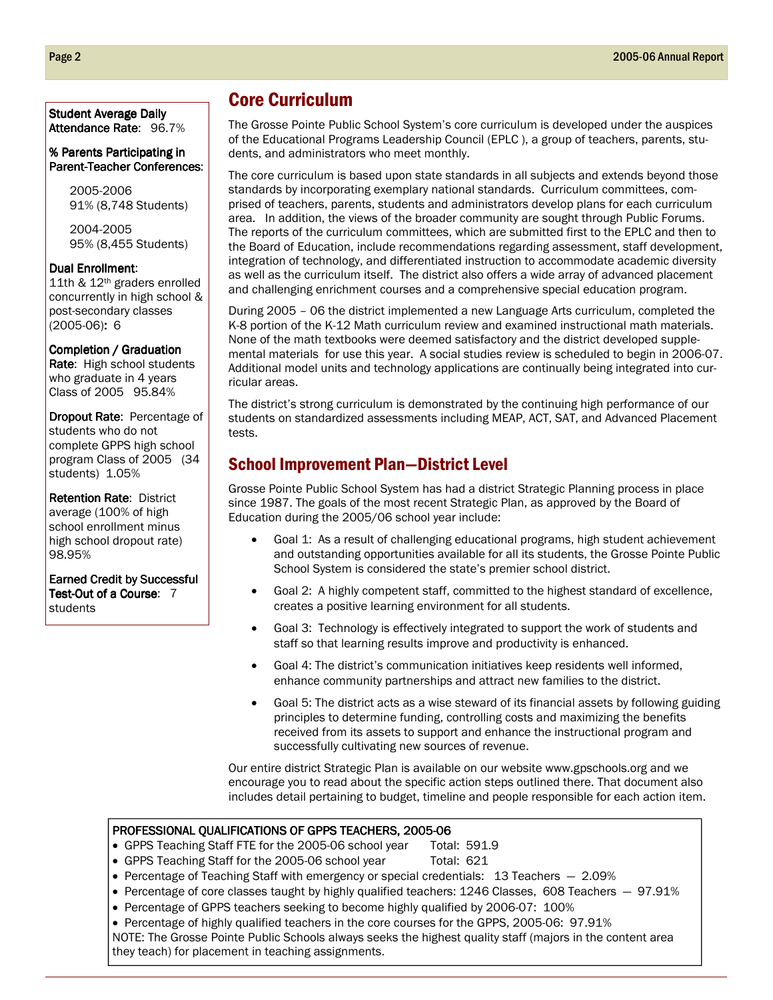#### Student Average Daily Attendance Rate: 96.7%

#### % Parents Participating in Parent-Teacher Conferences:

2005-2006 91% (8,748 Students)

2004-2005 95% (8,455 Students)

#### Dual Enrollment:

11th & 12th graders enrolled concurrently in high school & post-secondary classes (2005-06): 6

Completion / Graduation Rate: High school students who graduate in 4 years Class of 2005 95.84%

Dropout Rate: Percentage of students who do not complete GPPS high school program Class of 2005 (34 students) 1.05%

Retention Rate: District average (100% of high school enrollment minus high school dropout rate) 98.95%

Earned Credit by Successful Test-Out of a Course: 7 students

#### Core Curriculum

The Grosse Pointe Public School System's core curriculum is developed under the auspices of the Educational Programs Leadership Council (EPLC ), a group of teachers, parents, students, and administrators who meet monthly.

The core curriculum is based upon state standards in all subjects and extends beyond those standards by incorporating exemplary national standards. Curriculum committees, comprised of teachers, parents, students and administrators develop plans for each curriculum area. In addition, the views of the broader community are sought through Public Forums. The reports of the curriculum committees, which are submitted first to the EPLC and then to the Board of Education, include recommendations regarding assessment, staff development, integration of technology, and differentiated instruction to accommodate academic diversity as well as the curriculum itself. The district also offers a wide array of advanced placement and challenging enrichment courses and a comprehensive special education program.

During 2005 – 06 the district implemented a new Language Arts curriculum, completed the K-8 portion of the K-12 Math curriculum review and examined instructional math materials. None of the math textbooks were deemed satisfactory and the district developed supplemental materials for use this year. A social studies review is scheduled to begin in 2006-07. Additional model units and technology applications are continually being integrated into curricular areas.

The district's strong curriculum is demonstrated by the continuing high performance of our students on standardized assessments including MEAP, ACT, SAT, and Advanced Placement tests.

#### School Improvement Plan—District Level

Grosse Pointe Public School System has had a district Strategic Planning process in place since 1987. The goals of the most recent Strategic Plan, as approved by the Board of Education during the 2005/06 school year include:

- Goal 1: As a result of challenging educational programs, high student achievement and outstanding opportunities available for all its students, the Grosse Pointe Public School System is considered the state's premier school district.
- Goal 2: A highly competent staff, committed to the highest standard of excellence, creates a positive learning environment for all students.
- Goal 3: Technology is effectively integrated to support the work of students and staff so that learning results improve and productivity is enhanced.
- Goal 4: The district's communication initiatives keep residents well informed, enhance community partnerships and attract new families to the district.
- Goal 5: The district acts as a wise steward of its financial assets by following guiding principles to determine funding, controlling costs and maximizing the benefits received from its assets to support and enhance the instructional program and successfully cultivating new sources of revenue.

Our entire district Strategic Plan is available on our website www.gpschools.org and we encourage you to read about the specific action steps outlined there. That document also includes detail pertaining to budget, timeline and people responsible for each action item.

#### PROFESSIONAL QUALIFICATIONS OF GPPS TEACHERS, 2005-06

- GPPS Teaching Staff FTE for the 2005-06 school year Total: 591.9
- GPPS Teaching Staff for the 2005-06 school year Total: 621
- Percentage of Teaching Staff with emergency or special credentials: 13 Teachers  $-2.09\%$
- Percentage of core classes taught by highly qualified teachers: 1246 Classes, 608 Teachers  $-97.91\%$
- Percentage of GPPS teachers seeking to become highly qualified by 2006-07: 100%
- Percentage of highly qualified teachers in the core courses for the GPPS, 2005-06: 97.91%

NOTE: The Grosse Pointe Public Schools always seeks the highest quality staff (majors in the content area they teach) for placement in teaching assignments.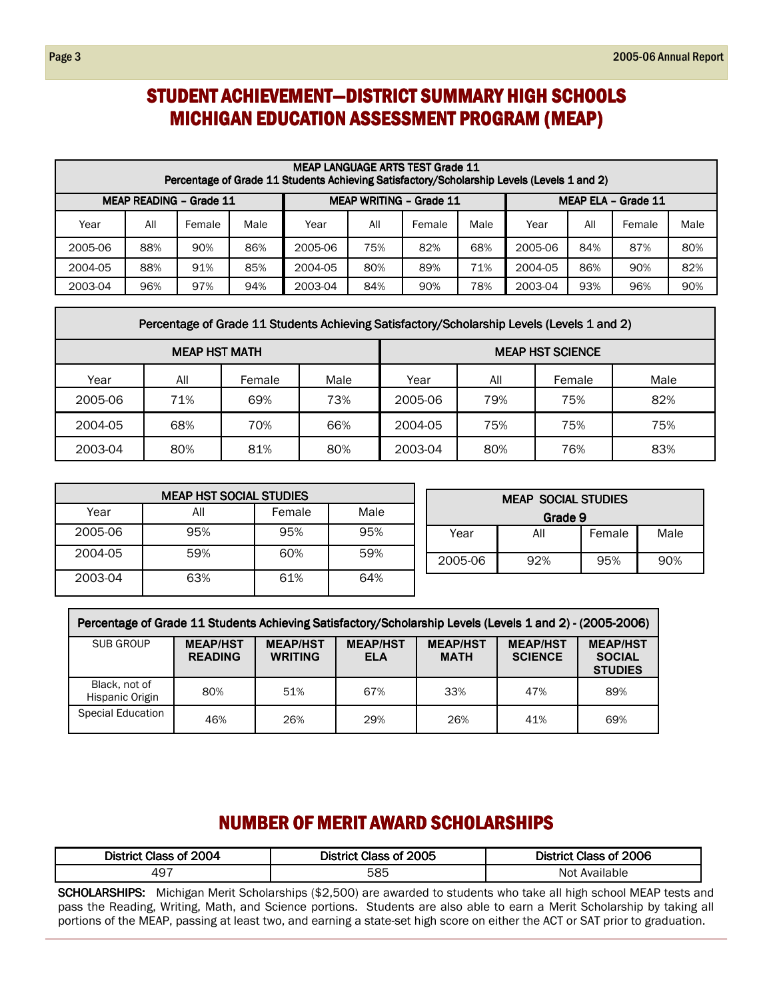#### STUDENT ACHIEVEMENT-DISTRICT SUMMARY HIGH SCHOOLS MICHIGAN EDUCATION ASSESSMENT PROGRAM (MEAP)

|                                                                  | <b>MEAP LANGUAGE ARTS TEST Grade 11</b><br>Percentage of Grade 11 Students Achieving Satisfactory/Scholarship Levels (Levels 1 and 2) |        |      |         |     |        |                     |         |     |        |      |  |  |
|------------------------------------------------------------------|---------------------------------------------------------------------------------------------------------------------------------------|--------|------|---------|-----|--------|---------------------|---------|-----|--------|------|--|--|
| <b>MEAP READING - Grade 11</b><br><b>MEAP WRITING - Grade 11</b> |                                                                                                                                       |        |      |         |     |        | MEAP ELA - Grade 11 |         |     |        |      |  |  |
| Year                                                             | All                                                                                                                                   | Female | Male | Year    | All | Female | Male                | Year    | All | Female | Male |  |  |
| 2005-06                                                          | 88%                                                                                                                                   | 90%    | 86%  | 2005-06 | 75% | 82%    | 68%                 | 2005-06 | 84% | 87%    | 80%  |  |  |
| 2004-05                                                          | 88%                                                                                                                                   | 91%    | 85%  | 2004-05 | 80% | 89%    | 71%                 | 2004-05 | 86% | 90%    | 82%  |  |  |
| 2003-04                                                          | 96%                                                                                                                                   | 97%    | 94%  | 2003-04 | 84% | 90%    | 78%                 | 2003-04 | 93% | 96%    | 90%  |  |  |

| Percentage of Grade 11 Students Achieving Satisfactory/Scholarship Levels (Levels 1 and 2) |     |        |      |                         |     |        |      |  |  |  |  |
|--------------------------------------------------------------------------------------------|-----|--------|------|-------------------------|-----|--------|------|--|--|--|--|
| <b>MEAP HST MATH</b>                                                                       |     |        |      | <b>MEAP HST SCIENCE</b> |     |        |      |  |  |  |  |
| Year                                                                                       | All | Female | Male | Year                    | All | Female | Male |  |  |  |  |
| 2005-06                                                                                    | 71% | 69%    | 73%  | 2005-06                 | 79% | 75%    | 82%  |  |  |  |  |
| 2004-05                                                                                    | 68% | 70%    | 66%  | 2004-05                 | 75% | 75%    | 75%  |  |  |  |  |
| 2003-04                                                                                    | 80% | 81%    | 80%  | 2003-04                 | 80% | 76%    | 83%  |  |  |  |  |

| <b>MEAP HST SOCIAL STUDIES</b> |     |        |      |  |  |  |  |  |  |
|--------------------------------|-----|--------|------|--|--|--|--|--|--|
| Year                           | All | Female | Male |  |  |  |  |  |  |
| 2005-06                        | 95% | 95%    | 95%  |  |  |  |  |  |  |
| 2004-05                        | 59% | 60%    | 59%  |  |  |  |  |  |  |
| 2003-04                        | 63% | 61%    | 64%  |  |  |  |  |  |  |

| <b>MEAP SOCIAL STUDIES</b>   |     |        |      |  |  |  |  |  |  |
|------------------------------|-----|--------|------|--|--|--|--|--|--|
| Grade 9                      |     |        |      |  |  |  |  |  |  |
| Year                         | All | Female | Male |  |  |  |  |  |  |
| 2005-06<br>90%<br>92%<br>95% |     |        |      |  |  |  |  |  |  |

| Percentage of Grade 11 Students Achieving Satisfactory/Scholarship Levels (Levels 1 and 2) - (2005-2006) |                                   |                                   |                               |                                |                                   |                                                    |  |  |  |  |
|----------------------------------------------------------------------------------------------------------|-----------------------------------|-----------------------------------|-------------------------------|--------------------------------|-----------------------------------|----------------------------------------------------|--|--|--|--|
| SUB GROUP                                                                                                | <b>MEAP/HST</b><br><b>READING</b> | <b>MEAP/HST</b><br><b>WRITING</b> | <b>MEAP/HST</b><br><b>ELA</b> | <b>MEAP/HST</b><br><b>MATH</b> | <b>MEAP/HST</b><br><b>SCIENCE</b> | <b>MEAP/HST</b><br><b>SOCIAL</b><br><b>STUDIES</b> |  |  |  |  |
| Black, not of<br>Hispanic Origin                                                                         | 80%                               | 51%                               | 67%                           | 33%                            | 47%                               | 89%                                                |  |  |  |  |
| <b>Special Education</b>                                                                                 | 46%                               | 26%                               | 29%                           | 26%                            | 41%                               | 69%                                                |  |  |  |  |

#### NUMBER OF MERIT AWARD SCHOLARSHIPS

| District Class of 2004 | District Class of 2005 | District Class of 2006 |
|------------------------|------------------------|------------------------|
| 497                    | 585                    | Available<br>Not.      |

SCHOLARSHIPS: Michigan Merit Scholarships (\$2,500) are awarded to students who take all high school MEAP tests and pass the Reading, Writing, Math, and Science portions. Students are also able to earn a Merit Scholarship by taking all portions of the MEAP, passing at least two, and earning a state-set high score on either the ACT or SAT prior to graduation.

Г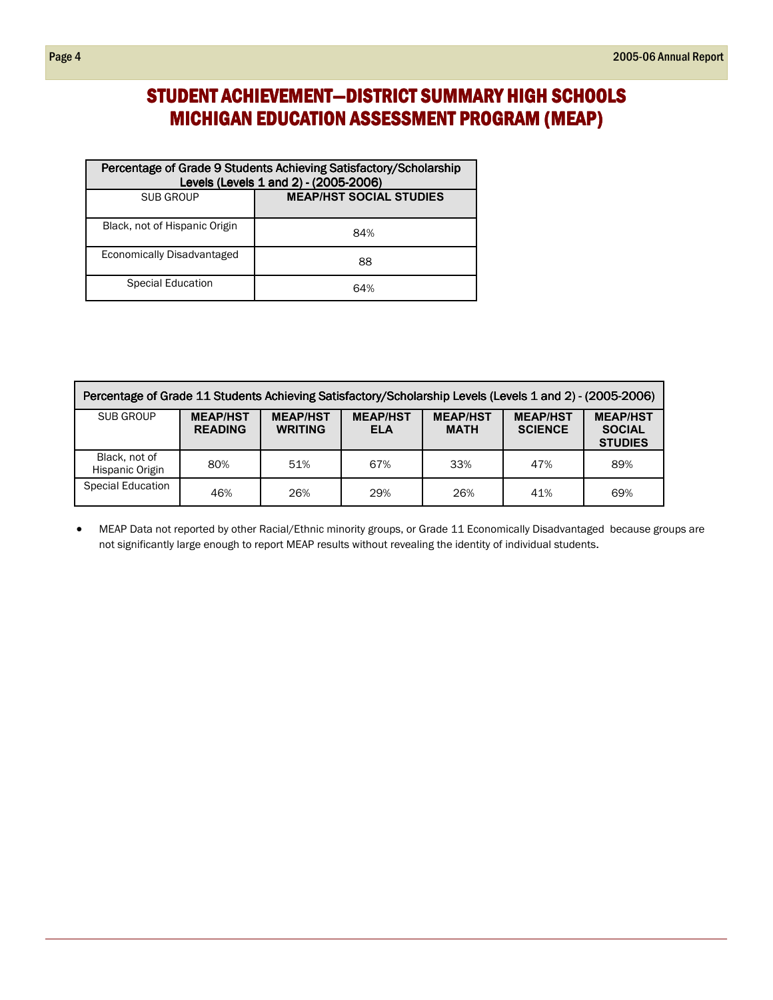### STUDENT ACHIEVEMENT-DISTRICT SUMMARY HIGH SCHOOLS MICHIGAN EDUCATION ASSESSMENT PROGRAM (MEAP)

| Percentage of Grade 9 Students Achieving Satisfactory/Scholarship<br>Levels (Levels 1 and 2) - (2005-2006) |                                |  |  |  |  |  |
|------------------------------------------------------------------------------------------------------------|--------------------------------|--|--|--|--|--|
| <b>SUB GROUP</b>                                                                                           | <b>MEAP/HST SOCIAL STUDIES</b> |  |  |  |  |  |
| Black, not of Hispanic Origin                                                                              | 84%                            |  |  |  |  |  |
| Economically Disadvantaged                                                                                 | 88                             |  |  |  |  |  |
| Special Education                                                                                          | 64%                            |  |  |  |  |  |

| Percentage of Grade 11 Students Achieving Satisfactory/Scholarship Levels (Levels 1 and 2) - (2005-2006) |                                   |                                   |                               |                                |                                   |                                                    |  |  |  |  |
|----------------------------------------------------------------------------------------------------------|-----------------------------------|-----------------------------------|-------------------------------|--------------------------------|-----------------------------------|----------------------------------------------------|--|--|--|--|
| SUB GROUP                                                                                                | <b>MEAP/HST</b><br><b>READING</b> | <b>MEAP/HST</b><br><b>WRITING</b> | <b>MEAP/HST</b><br><b>ELA</b> | <b>MEAP/HST</b><br><b>MATH</b> | <b>MEAP/HST</b><br><b>SCIENCE</b> | <b>MEAP/HST</b><br><b>SOCIAL</b><br><b>STUDIES</b> |  |  |  |  |
| Black, not of<br>Hispanic Origin                                                                         | 80%                               | 51%                               | 67%                           | 33%                            | 47%                               | 89%                                                |  |  |  |  |
| <b>Special Education</b>                                                                                 | 46%                               | 26%                               | 29%                           | 26%                            | 41%                               | 69%                                                |  |  |  |  |

• MEAP Data not reported by other Racial/Ethnic minority groups, or Grade 11 Economically Disadvantaged because groups are not significantly large enough to report MEAP results without revealing the identity of individual students.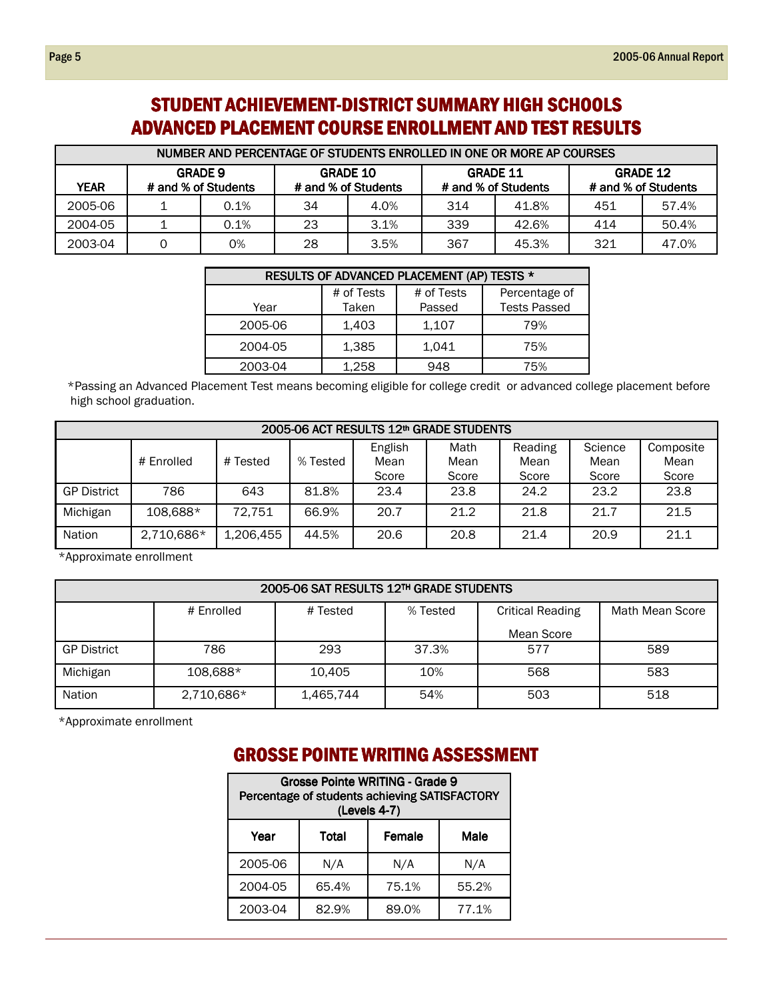### STUDENT ACHIEVEMENT-DISTRICT SUMMARY HIGH SCHOOLS ADVANCED PLACEMENT COURSE ENROLLMENT AND TEST RESULTS

| NUMBER AND PERCENTAGE OF STUDENTS ENROLLED IN ONE OR MORE AP COURSES |                                       |      |                                        |      |                                        |       |                                        |       |  |  |  |
|----------------------------------------------------------------------|---------------------------------------|------|----------------------------------------|------|----------------------------------------|-------|----------------------------------------|-------|--|--|--|
| <b>YEAR</b>                                                          | <b>GRADE 9</b><br># and % of Students |      | <b>GRADE 10</b><br># and % of Students |      | <b>GRADE 11</b><br># and % of Students |       | <b>GRADE 12</b><br># and % of Students |       |  |  |  |
| 2005-06                                                              |                                       | 0.1% | 34                                     | 4.0% | 314                                    | 41.8% | 451                                    | 57.4% |  |  |  |
| 2004-05                                                              |                                       | 0.1% | 23                                     | 3.1% | 339                                    | 42.6% | 414                                    | 50.4% |  |  |  |
| 2003-04                                                              | 0                                     | 0%   | 28                                     | 3.5% | 367                                    | 45.3% | 321                                    | 47.0% |  |  |  |

| RESULTS OF ADVANCED PLACEMENT (AP) TESTS *<br># of Tests<br># of Tests<br>Percentage of |  |  |  |  |  |  |  |  |  |  |  |
|-----------------------------------------------------------------------------------------|--|--|--|--|--|--|--|--|--|--|--|
|                                                                                         |  |  |  |  |  |  |  |  |  |  |  |
| <b>Tests Passed</b><br>Taken<br>Passed<br>Year                                          |  |  |  |  |  |  |  |  |  |  |  |
| 2005-06<br>1,403<br>1,107<br>79%                                                        |  |  |  |  |  |  |  |  |  |  |  |
| 1,385<br>2004-05<br>1,041<br>75%                                                        |  |  |  |  |  |  |  |  |  |  |  |
| 1,258<br>2003-04<br>948<br>75%                                                          |  |  |  |  |  |  |  |  |  |  |  |

\*Passing an Advanced Placement Test means becoming eligible for college credit or advanced college placement before high school graduation.

|                    | 2005-06 ACT RESULTS 12th GRADE STUDENTS |           |          |                          |                       |                          |                          |                            |  |  |  |  |
|--------------------|-----------------------------------------|-----------|----------|--------------------------|-----------------------|--------------------------|--------------------------|----------------------------|--|--|--|--|
|                    | # Enrolled                              | # Tested  | % Tested | English<br>Mean<br>Score | Math<br>Mean<br>Score | Reading<br>Mean<br>Score | Science<br>Mean<br>Score | Composite<br>Mean<br>Score |  |  |  |  |
| <b>GP District</b> | 786                                     | 643       | 81.8%    | 23.4                     | 23.8                  | 24.2                     | 23.2                     | 23.8                       |  |  |  |  |
| Michigan           | 108.688*                                | 72.751    | 66.9%    | 20.7                     | 21.2                  | 21.8                     | 21.7                     | 21.5                       |  |  |  |  |
| <b>Nation</b>      | 2,710,686*                              | 1,206,455 | 44.5%    | 20.6                     | 20.8                  | 21.4                     | 20.9                     | 21.1                       |  |  |  |  |

\*Approximate enrollment

| 2005-06 SAT RESULTS 12TH GRADE STUDENTS |            |           |          |                         |                 |  |  |  |  |  |  |
|-----------------------------------------|------------|-----------|----------|-------------------------|-----------------|--|--|--|--|--|--|
|                                         | # Enrolled | # Tested  | % Tested | <b>Critical Reading</b> | Math Mean Score |  |  |  |  |  |  |
|                                         |            |           |          | Mean Score              |                 |  |  |  |  |  |  |
| <b>GP District</b>                      | 786        | 293       | 37.3%    | 577                     | 589             |  |  |  |  |  |  |
| Michigan                                | 108,688*   | 10.405    | 10%      | 568                     | 583             |  |  |  |  |  |  |
| <b>Nation</b>                           | 2,710,686* | 1,465,744 | 54%      | 503                     | 518             |  |  |  |  |  |  |

\*Approximate enrollment

## **GROSSE POINTE WRITING ASSESSMENT**

| <b>Grosse Pointe WRITING - Grade 9</b><br>Percentage of students achieving SATISFACTORY<br>(Levels 4-7) |       |       |       |  |  |  |  |  |
|---------------------------------------------------------------------------------------------------------|-------|-------|-------|--|--|--|--|--|
| Year<br>Total<br>Female<br>Male                                                                         |       |       |       |  |  |  |  |  |
| 2005-06                                                                                                 | N/A   | N/A   | N/A   |  |  |  |  |  |
| 2004-05                                                                                                 | 65.4% | 75.1% | 55.2% |  |  |  |  |  |
| 2003-04                                                                                                 | 82.9% | 89.0% | 77.1% |  |  |  |  |  |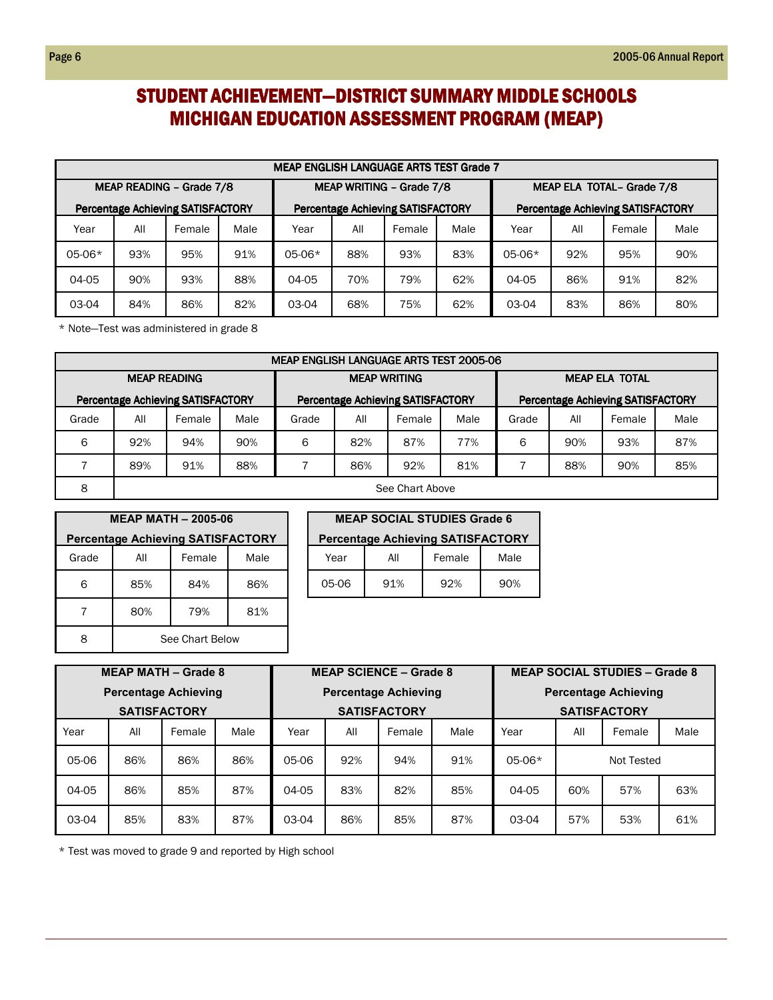### STUDENT ACHIEVEMENT-DISTRICT SUMMARY MIDDLE SCHOOLS MICHIGAN EDUCATION ASSESSMENT PROGRAM (MEAP)

|                          | <b>MEAP ENGLISH LANGUAGE ARTS TEST Grade 7</b> |                                          |      |                                                                                      |     |        |      |                           |     |        |      |  |  |
|--------------------------|------------------------------------------------|------------------------------------------|------|--------------------------------------------------------------------------------------|-----|--------|------|---------------------------|-----|--------|------|--|--|
| MEAP READING - Grade 7/8 |                                                |                                          |      | MEAP WRITING - Grade 7/8                                                             |     |        |      | MEAP ELA TOTAL- Grade 7/8 |     |        |      |  |  |
|                          |                                                | <b>Percentage Achieving SATISFACTORY</b> |      | <b>Percentage Achieving SATISFACTORY</b><br><b>Percentage Achieving SATISFACTORY</b> |     |        |      |                           |     |        |      |  |  |
| Year                     | All                                            | Female                                   | Male | Year                                                                                 | All | Female | Male | Year                      | All | Female | Male |  |  |
| $05-06*$                 | 93%                                            | 95%                                      | 91%  | $05-06*$                                                                             | 88% | 93%    | 83%  | $05-06*$                  | 92% | 95%    | 90%  |  |  |
| 04-05                    | 90%                                            | 93%                                      | 88%  | 04-05                                                                                | 70% | 79%    | 62%  | 04-05                     | 86% | 91%    | 82%  |  |  |
| 03-04                    | 84%                                            | 86%                                      | 82%  | 03-04                                                                                | 68% | 75%    | 62%  | 03-04                     | 83% | 86%    | 80%  |  |  |

\* Note—Test was administered in grade 8

|       | MEAP ENGLISH LANGUAGE ARTS TEST 2005-06 |                                          |      |                                                                                      |     |        |      |                       |     |        |      |  |  |
|-------|-----------------------------------------|------------------------------------------|------|--------------------------------------------------------------------------------------|-----|--------|------|-----------------------|-----|--------|------|--|--|
|       | <b>MEAP READING</b>                     |                                          |      | <b>MEAP WRITING</b>                                                                  |     |        |      | <b>MEAP ELA TOTAL</b> |     |        |      |  |  |
|       |                                         | <b>Percentage Achieving SATISFACTORY</b> |      | <b>Percentage Achieving SATISFACTORY</b><br><b>Percentage Achieving SATISFACTORY</b> |     |        |      |                       |     |        |      |  |  |
| Grade | All                                     | Female                                   | Male | Grade                                                                                | All | Female | Male | Grade                 | All | Female | Male |  |  |
| 6     | 92%                                     | 94%                                      | 90%  | 6                                                                                    | 82% | 87%    | 77%  | 6                     | 90% | 93%    | 87%  |  |  |
|       | 89%                                     | 91%                                      | 88%  |                                                                                      | 86% | 92%    | 81%  |                       | 88% | 90%    | 85%  |  |  |
| 8     | See Chart Above                         |                                          |      |                                                                                      |     |        |      |                       |     |        |      |  |  |

|                                          | <b>MEAP MATH - 2005-06</b> |        |      |  |  |  |  |  |  |  |  |
|------------------------------------------|----------------------------|--------|------|--|--|--|--|--|--|--|--|
| <b>Percentage Achieving SATISFACTORY</b> |                            |        |      |  |  |  |  |  |  |  |  |
| Grade                                    | All                        | Female | Male |  |  |  |  |  |  |  |  |
| 6                                        | 85%                        | 84%    | 86%  |  |  |  |  |  |  |  |  |
|                                          | 80%                        | 79%    | 81%  |  |  |  |  |  |  |  |  |
| 8                                        | See Chart Below            |        |      |  |  |  |  |  |  |  |  |

| <b>MEAP SOCIAL STUDIES Grade 6</b>       |     |        |      |  |  |  |  |  |
|------------------------------------------|-----|--------|------|--|--|--|--|--|
| <b>Percentage Achieving SATISFACTORY</b> |     |        |      |  |  |  |  |  |
| Year                                     | All | Female | Male |  |  |  |  |  |
| 05-06                                    | 91% | 92%    | 90%  |  |  |  |  |  |

| <b>MEAP MATH - Grade 8</b> |     |                             |      | <b>MEAP SCIENCE - Grade 8</b> |     |                             |                             | <b>MEAP SOCIAL STUDIES - Grade 8</b> |            |        |      |
|----------------------------|-----|-----------------------------|------|-------------------------------|-----|-----------------------------|-----------------------------|--------------------------------------|------------|--------|------|
|                            |     | <b>Percentage Achieving</b> |      |                               |     | <b>Percentage Achieving</b> | <b>Percentage Achieving</b> |                                      |            |        |      |
|                            |     | <b>SATISFACTORY</b>         |      | <b>SATISFACTORY</b>           |     |                             |                             | <b>SATISFACTORY</b>                  |            |        |      |
| Year                       | All | Female                      | Male | Year                          | All | Female                      | Male                        | Year                                 | All        | Female | Male |
| 05-06                      | 86% | 86%                         | 86%  | 05-06                         | 92% | 94%                         | 91%                         | $05-06*$                             | Not Tested |        |      |
| 04-05                      | 86% | 85%                         | 87%  | 04-05                         | 83% | 82%                         | 85%                         | 04-05                                | 60%        | 57%    | 63%  |
| 03-04                      | 85% | 83%                         | 87%  | 03-04                         | 86% | 85%                         | 87%                         | 03-04                                | 57%        | 53%    | 61%  |

\* Test was moved to grade 9 and reported by High school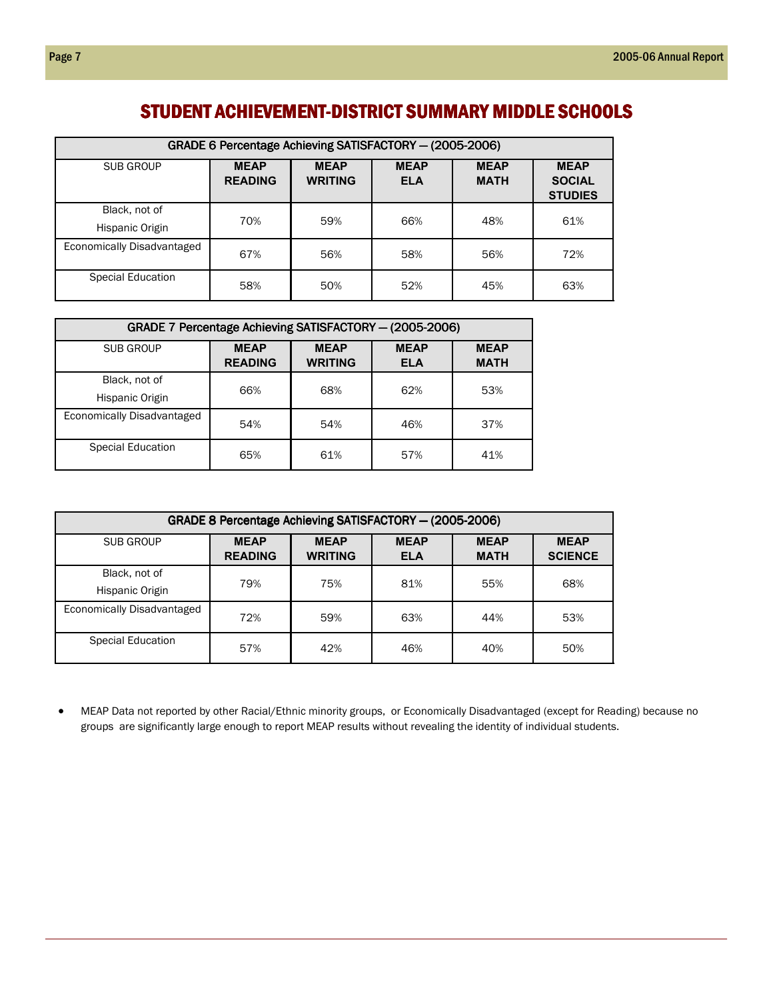#### STUDENT ACHIEVEMENT-DISTRICT SUMMARY MIDDLE SCHOOLS

| GRADE 6 Percentage Achieving SATISFACTORY - (2005-2006) |                               |                               |                           |                            |                                                |  |  |  |  |  |
|---------------------------------------------------------|-------------------------------|-------------------------------|---------------------------|----------------------------|------------------------------------------------|--|--|--|--|--|
| SUB GROUP                                               | <b>MEAP</b><br><b>READING</b> | <b>MEAP</b><br><b>WRITING</b> | <b>MEAP</b><br><b>ELA</b> | <b>MEAP</b><br><b>MATH</b> | <b>MEAP</b><br><b>SOCIAL</b><br><b>STUDIES</b> |  |  |  |  |  |
| Black, not of<br>Hispanic Origin                        | 70%                           | 59%                           | 66%                       | 48%                        | 61%                                            |  |  |  |  |  |
| Economically Disadvantaged                              | 67%                           | 56%                           | 58%                       | 56%                        | 72%                                            |  |  |  |  |  |
| Special Education                                       | 58%                           | 50%                           | 52%                       | 45%                        | 63%                                            |  |  |  |  |  |

| GRADE 7 Percentage Achieving SATISFACTORY - (2005-2006) |                               |                            |     |     |  |  |  |  |  |  |
|---------------------------------------------------------|-------------------------------|----------------------------|-----|-----|--|--|--|--|--|--|
| <b>SUB GROUP</b>                                        | <b>MEAP</b><br><b>READING</b> | <b>MEAP</b><br><b>MATH</b> |     |     |  |  |  |  |  |  |
| Black, not of<br>Hispanic Origin                        | 66%                           | 68%                        | 62% | 53% |  |  |  |  |  |  |
| Economically Disadvantaged                              | 54%                           | 54%                        | 46% | 37% |  |  |  |  |  |  |
| Special Education                                       | 65%                           | 61%                        | 57% | 41% |  |  |  |  |  |  |

| GRADE 8 Percentage Achieving SATISFACTORY - (2005-2006) |                               |                               |                           |                            |                               |  |  |  |  |  |
|---------------------------------------------------------|-------------------------------|-------------------------------|---------------------------|----------------------------|-------------------------------|--|--|--|--|--|
| SUB GROUP                                               | <b>MEAP</b><br><b>READING</b> | <b>MEAP</b><br><b>WRITING</b> | <b>MEAP</b><br><b>ELA</b> | <b>MEAP</b><br><b>MATH</b> | <b>MEAP</b><br><b>SCIENCE</b> |  |  |  |  |  |
| Black, not of<br>Hispanic Origin                        | 79%                           | 75%                           | 81%                       | 55%                        | 68%                           |  |  |  |  |  |
| Economically Disadvantaged                              | 72%                           | 59%                           | 63%                       | 44%                        | 53%                           |  |  |  |  |  |
| Special Education                                       | 57%                           | 42%                           | 46%                       | 40%                        | 50%                           |  |  |  |  |  |

• MEAP Data not reported by other Racial/Ethnic minority groups, or Economically Disadvantaged (except for Reading) because no groups are significantly large enough to report MEAP results without revealing the identity of individual students.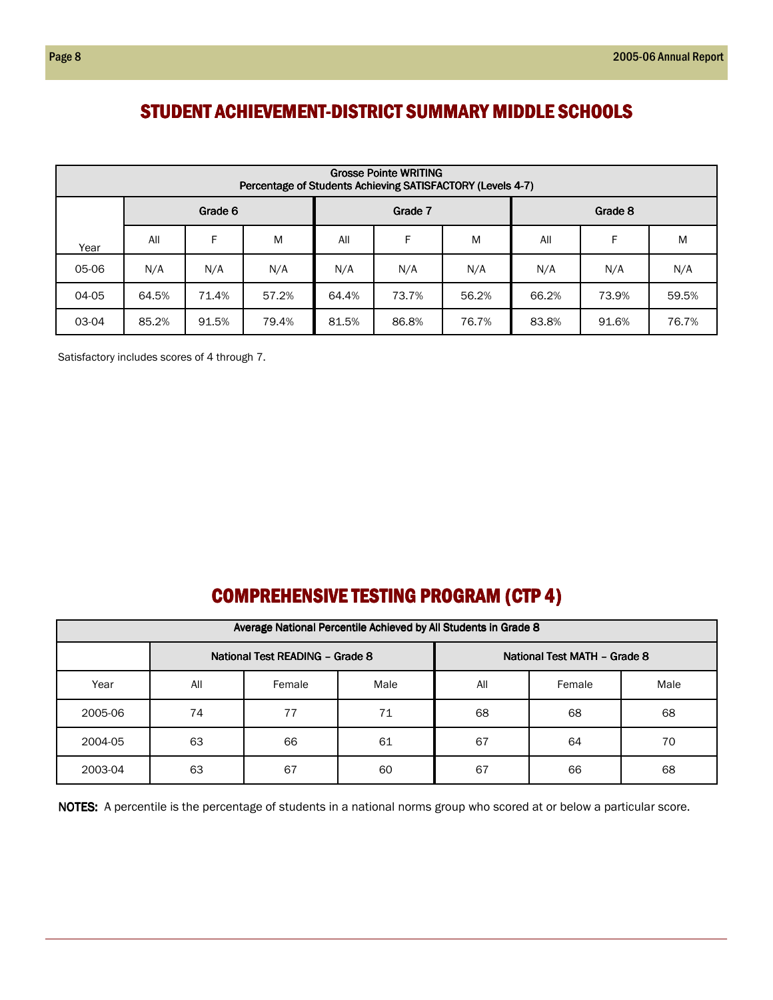#### STUDENT ACHIEVEMENT-DISTRICT SUMMARY MIDDLE SCHOOLS

|       | <b>Grosse Pointe WRITING</b><br>Percentage of Students Achieving SATISFACTORY (Levels 4-7) |         |       |         |       |       |         |       |       |  |  |  |  |  |
|-------|--------------------------------------------------------------------------------------------|---------|-------|---------|-------|-------|---------|-------|-------|--|--|--|--|--|
|       |                                                                                            | Grade 6 |       | Grade 7 |       |       | Grade 8 |       |       |  |  |  |  |  |
| Year  | All                                                                                        | F       | M     | All     | F     | M     | All     | F     | M     |  |  |  |  |  |
| 05-06 | N/A                                                                                        | N/A     | N/A   | N/A     | N/A   | N/A   | N/A     | N/A   | N/A   |  |  |  |  |  |
| 04-05 | 64.5%                                                                                      | 71.4%   | 57.2% | 64.4%   | 73.7% | 56.2% | 66.2%   | 73.9% | 59.5% |  |  |  |  |  |
| 03-04 | 85.2%                                                                                      | 91.5%   | 79.4% | 81.5%   | 86.8% | 76.7% | 83.8%   | 91.6% | 76.7% |  |  |  |  |  |

Satisfactory includes scores of 4 through 7.

## COMPREHENSIVE TESTING PROGRAM (CTP 4)

|         | Average National Percentile Achieved by All Students in Grade 8 |        |      |     |        |      |  |  |  |  |  |  |  |
|---------|-----------------------------------------------------------------|--------|------|-----|--------|------|--|--|--|--|--|--|--|
|         | National Test READING - Grade 8<br>National Test MATH - Grade 8 |        |      |     |        |      |  |  |  |  |  |  |  |
| Year    | All                                                             | Female | Male | All | Female | Male |  |  |  |  |  |  |  |
| 2005-06 | 74                                                              | 77     | 71   | 68  | 68     | 68   |  |  |  |  |  |  |  |
| 2004-05 | 63                                                              | 66     | 61   | 67  | 64     | 70   |  |  |  |  |  |  |  |
| 2003-04 | 63                                                              | 67     | 60   | 67  | 66     | 68   |  |  |  |  |  |  |  |

NOTES: A percentile is the percentage of students in a national norms group who scored at or below a particular score.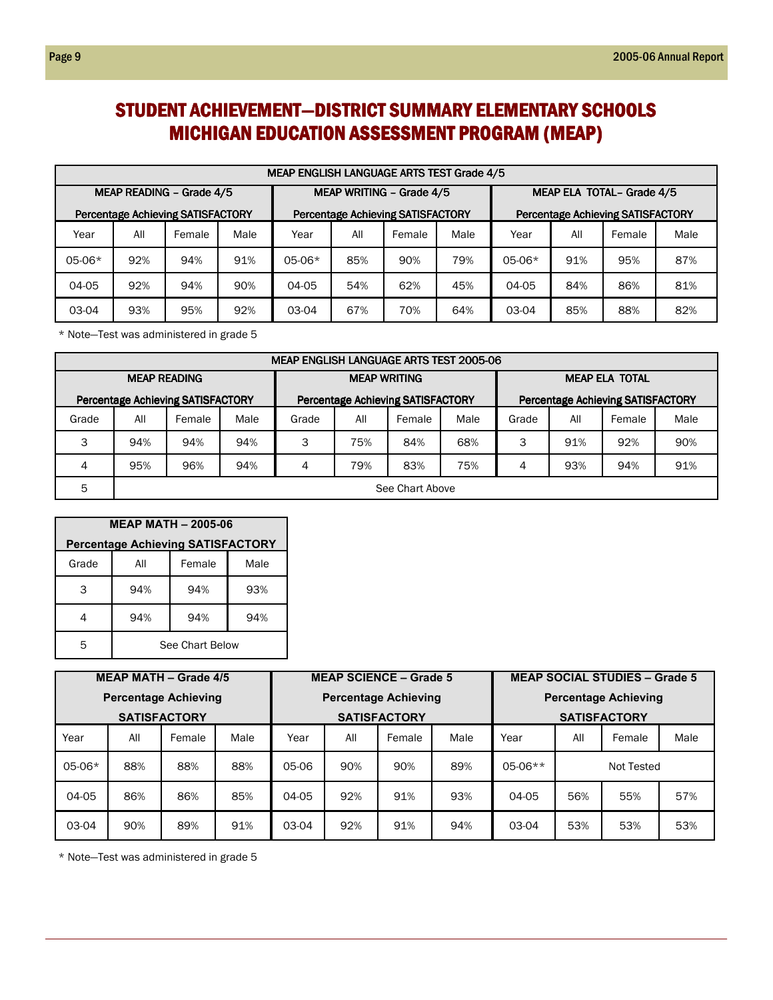### STUDENT ACHIEVEMENT-DISTRICT SUMMARY ELEMENTARY SCHOOLS **MICHIGAN EDUCATION ASSESSMENT PROGRAM (MEAP)**

|                          | MEAP ENGLISH LANGUAGE ARTS TEST Grade 4/5 |                                          |      |                                                                                      |     |        |      |                           |     |        |      |  |
|--------------------------|-------------------------------------------|------------------------------------------|------|--------------------------------------------------------------------------------------|-----|--------|------|---------------------------|-----|--------|------|--|
| MEAP READING - Grade 4/5 |                                           |                                          |      | MEAP WRITING - Grade 4/5                                                             |     |        |      | MEAP ELA TOTAL- Grade 4/5 |     |        |      |  |
|                          |                                           | <b>Percentage Achieving SATISFACTORY</b> |      | <b>Percentage Achieving SATISFACTORY</b><br><b>Percentage Achieving SATISFACTORY</b> |     |        |      |                           |     |        |      |  |
| Year                     | All                                       | Female                                   | Male | Year                                                                                 | All | Female | Male | Year                      | All | Female | Male |  |
| 05-06*                   | 92%                                       | 94%                                      | 91%  | $05-06*$                                                                             | 85% | 90%    | 79%  | $05-06*$                  | 91% | 95%    | 87%  |  |
| 04-05                    | 92%                                       | 94%                                      | 90%  | 04-05                                                                                | 54% | 62%    | 45%  | 04-05                     | 84% | 86%    | 81%  |  |
| 03-04                    | 93%                                       | 95%                                      | 92%  | 03-04                                                                                | 67% | 70%    | 64%  | 03-04                     | 85% | 88%    | 82%  |  |

\* Note—Test was administered in grade 5

|                     | <b>MEAP ENGLISH LANGUAGE ARTS TEST 2005-06</b> |                                          |      |                                                                                      |                     |        |      |                       |     |        |      |  |  |
|---------------------|------------------------------------------------|------------------------------------------|------|--------------------------------------------------------------------------------------|---------------------|--------|------|-----------------------|-----|--------|------|--|--|
| <b>MEAP READING</b> |                                                |                                          |      |                                                                                      | <b>MEAP WRITING</b> |        |      | <b>MEAP ELA TOTAL</b> |     |        |      |  |  |
|                     |                                                | <b>Percentage Achieving SATISFACTORY</b> |      | <b>Percentage Achieving SATISFACTORY</b><br><b>Percentage Achieving SATISFACTORY</b> |                     |        |      |                       |     |        |      |  |  |
| Grade               | All                                            | Female                                   | Male | Grade                                                                                | All                 | Female | Male | Grade                 | All | Female | Male |  |  |
| 3                   | 94%                                            | 94%                                      | 94%  | 3                                                                                    | 75%                 | 84%    | 68%  | 3                     | 91% | 92%    | 90%  |  |  |
| 4                   | 95%                                            | 96%                                      | 94%  | 4                                                                                    | 79%                 | 83%    | 75%  | 4                     | 93% | 94%    | 91%  |  |  |
| 5                   | See Chart Above                                |                                          |      |                                                                                      |                     |        |      |                       |     |        |      |  |  |

| <b>MEAP MATH - 2005-06</b>               |                 |        |      |  |  |  |  |  |  |  |
|------------------------------------------|-----------------|--------|------|--|--|--|--|--|--|--|
| <b>Percentage Achieving SATISFACTORY</b> |                 |        |      |  |  |  |  |  |  |  |
| Grade                                    | All             | Female | Male |  |  |  |  |  |  |  |
| 3                                        | 94%             | 94%    | 93%  |  |  |  |  |  |  |  |
|                                          | 94%             | 94%    | 94%  |  |  |  |  |  |  |  |
| 5                                        | See Chart Below |        |      |  |  |  |  |  |  |  |

| <b>MEAP MATH - Grade 4/5</b> |     |        |      | <b>MEAP SCIENCE - Grade 5</b> |     |                             |      | <b>MEAP SOCIAL STUDIES - Grade 5</b> |            |        |      |
|------------------------------|-----|--------|------|-------------------------------|-----|-----------------------------|------|--------------------------------------|------------|--------|------|
| <b>Percentage Achieving</b>  |     |        |      |                               |     | <b>Percentage Achieving</b> |      | <b>Percentage Achieving</b>          |            |        |      |
| <b>SATISFACTORY</b>          |     |        |      |                               |     | <b>SATISFACTORY</b>         |      | <b>SATISFACTORY</b>                  |            |        |      |
| Year                         | All | Female | Male | Year                          | All | Female                      | Male | Year                                 | All        | Female | Male |
| $05-06*$                     | 88% | 88%    | 88%  | 05-06                         | 90% | 90%                         | 89%  | $05-06**$                            | Not Tested |        |      |
| 04-05                        | 86% | 86%    | 85%  | 04-05                         | 92% | 91%                         | 93%  | 04-05                                | 56%        | 55%    | 57%  |
| 03-04                        | 90% | 89%    | 91%  | 03-04                         | 92% | 91%                         | 94%  | 03-04                                | 53%        | 53%    | 53%  |

\* Note—Test was administered in grade 5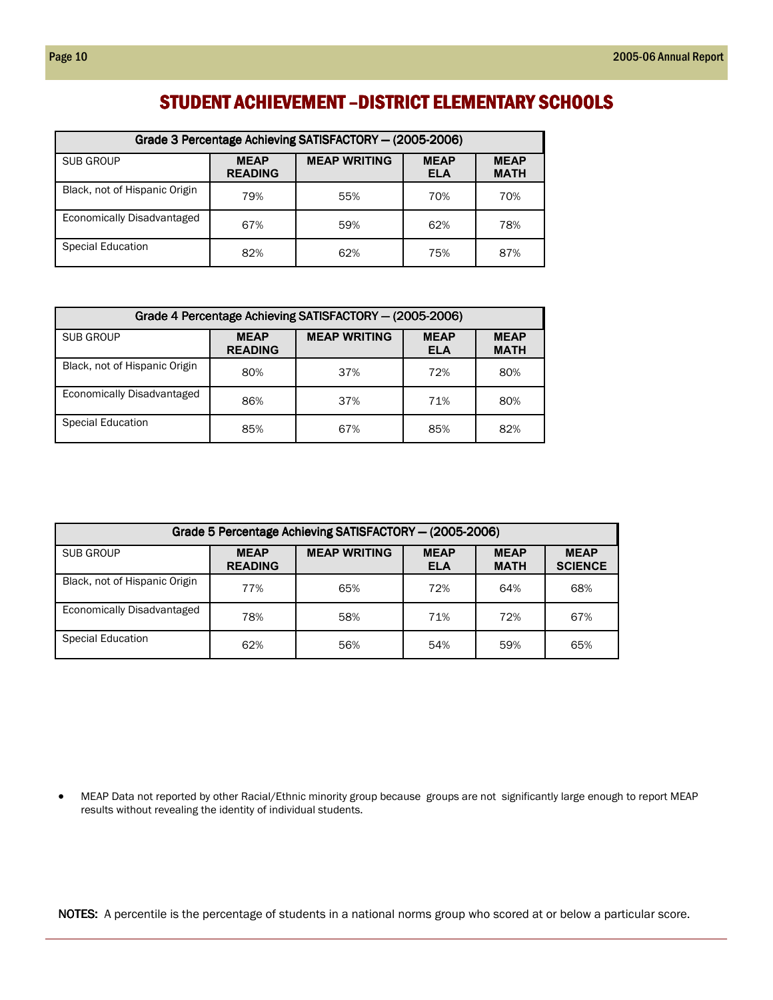#### STUDENT ACHIEVEMENT – DISTRICT ELEMENTARY SCHOOLS

| Grade 3 Percentage Achieving SATISFACTORY - (2005-2006) |                               |                     |                           |                            |  |  |  |  |  |  |
|---------------------------------------------------------|-------------------------------|---------------------|---------------------------|----------------------------|--|--|--|--|--|--|
| SUB GROUP                                               | <b>MEAP</b><br><b>READING</b> | <b>MEAP WRITING</b> | <b>MEAP</b><br><b>ELA</b> | <b>MEAP</b><br><b>MATH</b> |  |  |  |  |  |  |
| Black, not of Hispanic Origin                           | 79%                           | 55%                 | 70%                       | 70%                        |  |  |  |  |  |  |
| Economically Disadvantaged                              | 67%                           | 59%                 | 62%                       | 78%                        |  |  |  |  |  |  |
| Special Education                                       | 82%                           | 62%                 | 75%                       | 87%                        |  |  |  |  |  |  |

| Grade 4 Percentage Achieving SATISFACTORY - (2005-2006) |                               |                     |                           |                            |  |  |  |  |  |  |
|---------------------------------------------------------|-------------------------------|---------------------|---------------------------|----------------------------|--|--|--|--|--|--|
| SUB GROUP                                               | <b>MEAP</b><br><b>READING</b> | <b>MEAP WRITING</b> | <b>MEAP</b><br><b>ELA</b> | <b>MEAP</b><br><b>MATH</b> |  |  |  |  |  |  |
| Black, not of Hispanic Origin                           | 80%                           | 37%                 | 72%                       | 80%                        |  |  |  |  |  |  |
| Economically Disadvantaged                              | 86%                           | 37%                 | 71%                       | 80%                        |  |  |  |  |  |  |
| <b>Special Education</b>                                | 85%                           | 67%                 | 85%                       | 82%                        |  |  |  |  |  |  |

| Grade 5 Percentage Achieving SATISFACTORY - (2005-2006) |                               |                     |                           |                            |                               |  |  |  |  |  |
|---------------------------------------------------------|-------------------------------|---------------------|---------------------------|----------------------------|-------------------------------|--|--|--|--|--|
| SUB GROUP                                               | <b>MEAP</b><br><b>READING</b> | <b>MEAP WRITING</b> | <b>MEAP</b><br><b>ELA</b> | <b>MEAP</b><br><b>MATH</b> | <b>MEAP</b><br><b>SCIENCE</b> |  |  |  |  |  |
| Black, not of Hispanic Origin                           | 77%                           | 65%                 | 72%                       | 64%                        | 68%                           |  |  |  |  |  |
| <b>Economically Disadvantaged</b>                       | 78%                           | 58%                 | 71%                       | 72%                        | 67%                           |  |  |  |  |  |
| <b>Special Education</b>                                | 62%                           | 56%                 | 54%                       | 59%                        | 65%                           |  |  |  |  |  |

• MEAP Data not reported by other Racial/Ethnic minority group because groups are not significantly large enough to report MEAP results without revealing the identity of individual students.

NOTES: A percentile is the percentage of students in a national norms group who scored at or below a particular score.